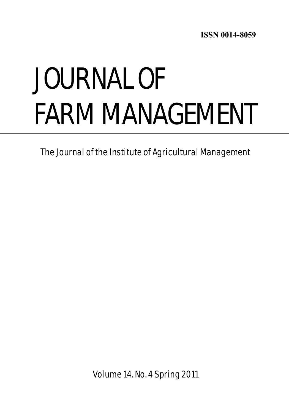## JOURNAL OF FARM MANAGEMENT

The Journal of the Institute of Agricultural Management

Volume 14. No. 4 Spring 2011